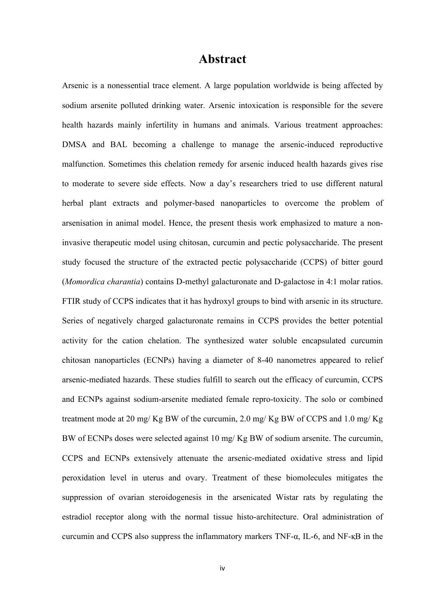## **Abstract**

Arsenic is a nonessential trace element. A large population worldwide is being affected by sodium arsenite polluted drinking water. Arsenic intoxication is responsible for the severe health hazards mainly infertility in humans and animals. Various treatment approaches: DMSA and BAL becoming a challenge to manage the arsenic-induced reproductive malfunction. Sometimes this chelation remedy for arsenic induced health hazards gives rise to moderate to severe side effects. Now a day's researchers tried to use different natural herbal plant extracts and polymer-based nanoparticles to overcome the problem of arsenisation in animal model. Hence, the present thesis work emphasized to mature a noninvasive therapeutic model using chitosan, curcumin and pectic polysaccharide. The present study focused the structure of the extracted pectic polysaccharide (CCPS) of bitter gourd (*Momordica charantia*) contains D-methyl galacturonate and D-galactose in 4:1 molar ratios. FTIR study of CCPS indicates that it has hydroxyl groups to bind with arsenic in its structure. Series of negatively charged galacturonate remains in CCPS provides the better potential activity for the cation chelation. The synthesized water soluble encapsulated curcumin chitosan nanoparticles (ECNPs) having a diameter of 8-40 nanometres appeared to relief arsenic-mediated hazards. These studies fulfill to search out the efficacy of curcumin, CCPS and ECNPs against sodium-arsenite mediated female repro-toxicity. The solo or combined treatment mode at 20 mg/ Kg BW of the curcumin, 2.0 mg/ Kg BW of CCPS and 1.0 mg/ Kg BW of ECNPs doses were selected against 10 mg/ Kg BW of sodium arsenite. The curcumin, CCPS and ECNPs extensively attenuate the arsenic-mediated oxidative stress and lipid peroxidation level in uterus and ovary. Treatment of these biomolecules mitigates the suppression of ovarian steroidogenesis in the arsenicated Wistar rats by regulating the estradiol receptor along with the normal tissue histo-architecture. Oral administration of curcumin and CCPS also suppress the inflammatory markers TNF-α, IL-6, and NF- $<sub>K</sub>B$  in the</sub>